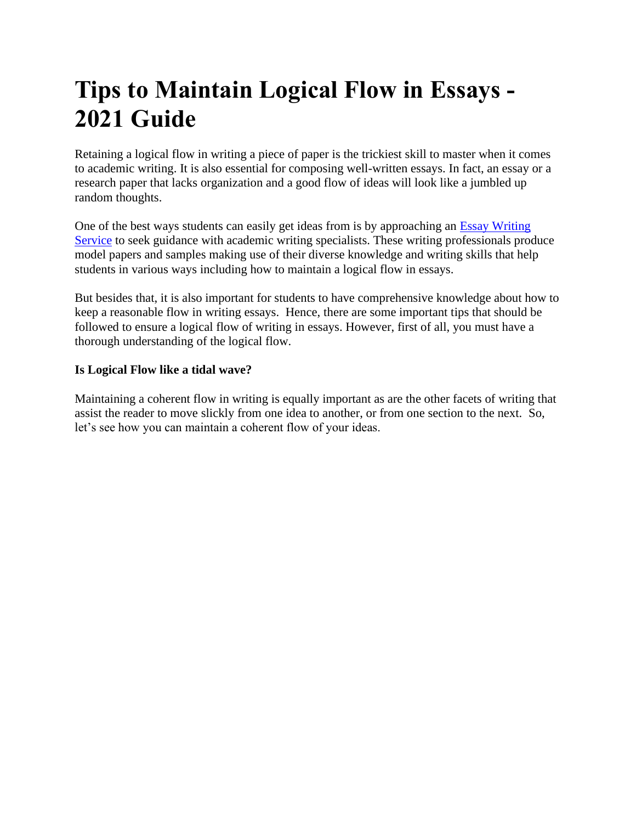## **Tips to Maintain Logical Flow in Essays - 2021 Guide**

Retaining a logical flow in writing a piece of paper is the trickiest skill to master when it comes to academic writing. It is also essential for composing well-written essays. In fact, an essay or a research paper that lacks organization and a good flow of ideas will look like a jumbled up random thoughts.

One of the best ways students can easily get ideas from is by approaching an [Essay Writing](https://www.myperfectwords.com/)  [Service](https://www.myperfectwords.com/) to seek guidance with academic writing specialists. These writing professionals produce model papers and samples making use of their diverse knowledge and writing skills that help students in various ways including how to maintain a logical flow in essays.

But besides that, it is also important for students to have comprehensive knowledge about how to keep a reasonable flow in writing essays. Hence, there are some important tips that should be followed to ensure a logical flow of writing in essays. However, first of all, you must have a thorough understanding of the logical flow.

## **Is Logical Flow like a tidal wave?**

Maintaining a coherent flow in writing is equally important as are the other facets of writing that assist the reader to move slickly from one idea to another, or from one section to the next. So, let's see how you can maintain a coherent flow of your ideas.